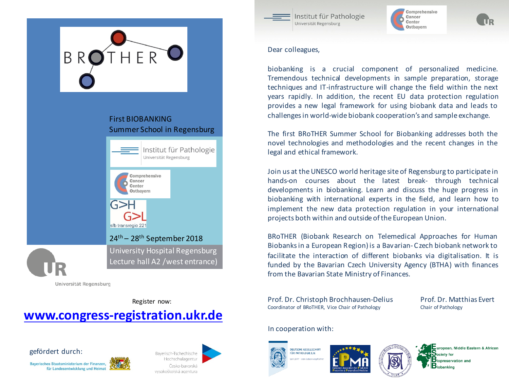

### **First BIOBANKING** Summer School in Regensburg



Universität Regensburg

Register now:

## **www.congress-registration.ukr.de**







Institut für Pathologie Universität Regensburg



Dear colleagues,

biobanking is a crucial component of personalized medicine. Tremendous technical developments in sample preparation, storage techniques and IT-infrastructure will change the field within the next years rapidly. In addition, the recent EU data protection regulation provides a new legal framework for using biobank data and leads to challengesin world-wide biobank cooperation's and sample exchange.

The first BRoTHER Summer School for Biobanking addresses both the novel technologies and methodologies and the recent changes in the legal and ethical framework.

Join us at theUNESCO world heritage site of Regensburg to participate in hands-on courses about the latest break- through technical developments in biobanking. Learn and discuss the huge progress in biobanking with international experts in the field, and learn how to implement the new data protection regulation in your international projects both within and outside ofthe European Union.

BRoTHER (Biobank Research on Telemedical Approaches for Human Biobanksin a European Region) is a Bavarian- C zech biobank network to facilitate the interaction of different biobanks via digitalisation. It is funded by the Bavarian Czech University Agency (BTHA) with finances from the Bavarian State Ministry of Finances.

Prof. Dr. Christoph Brochhausen-Delius Prof. Dr. Matthias Evert Coordinator of BRoTHER, Vice Chair of Pathology Chair of Pathology

### In cooperation with:









uropean, Middle Eastern & African opreservation and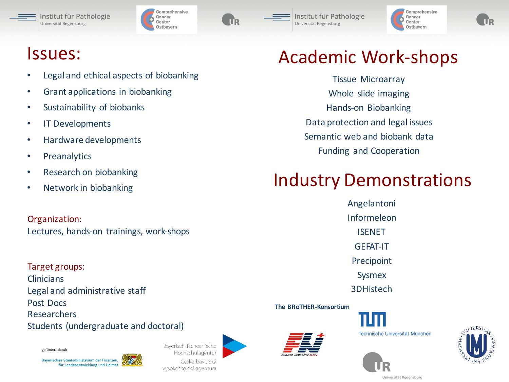





Institut für Pathologie Universität Regensburg



## Issues:

- Legal and ethical aspects of biobanking
- Grant applications in biobanking
- Sustainability of biobanks
- IT Developments
- Hardware developments
- Preanalytics
- Research on biobanking
- Network in biobanking

Organization: Lectures, hands-on trainings, work-shops

Target groups: Clinicians Legal and administrative staff Post Docs Researchers Students (undergraduate and doctoral)

gefördert durch







Tissue Microarray Whole slide imaging Hands-on Biobanking Data protection and legal issues Semantic web and biobank data Funding and Cooperation

# Industry Demonstrations

Angelantoni Informeleon ISENET GEFAT-IT Precipoint Sysmex 3DHistech

**The BRoTHER-Konsortium**



Technische Universität München





Universität Regensburg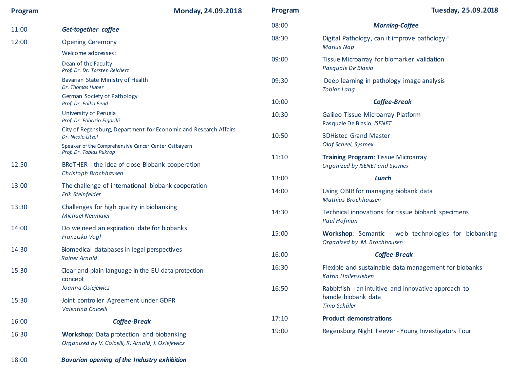| Program | Monday, 24.09.2018                                                                                                                 | Program | <b>Tuesday, 25.09.2018</b>                                                          |
|---------|------------------------------------------------------------------------------------------------------------------------------------|---------|-------------------------------------------------------------------------------------|
| 11:00   | Get-together coffee                                                                                                                | 08:00   | <b>Morning-Coffee</b>                                                               |
| 12:00   | <b>Opening Ceremony</b>                                                                                                            | 08:30   | Digital Pathology, can it improve pathology?<br><b>Marius Nap</b>                   |
|         | Welcome addresses:<br>Dean of the Faculty<br>Prof. Dr. Dr. Torsten Reichert                                                        | 09:00   | Tissue Microarray for biomarker validation<br>Pasquale De Blasio                    |
|         | Bavarian State Ministry of Health<br>Dr. Thomas Huber                                                                              | 09:30   | Deep learning in pathology image analysis<br><b>Tobias Lang</b>                     |
|         | German Society of Pathology<br>Prof. Dr. Falko Fend                                                                                | 10:00   | <b>Coffee-Break</b>                                                                 |
|         | University of Perugia<br>Prof. Dr. Fabrizio Figorilli                                                                              | 10:30   | Galileo Tissue Microarray Platform<br>Pasquale De Blasio, ISENET                    |
|         | City of Regensburg, Department for Economic and Research Affairs<br>Dr. Nicole Litzel                                              | 10:50   | <b>3DHistec Grand Master</b><br>Olaf Scheel, Sysmex                                 |
|         | Speaker of the Comprehensive Cancer Center Ostbayern<br>Prof. Dr. Tobias Pukrop<br>BRoTHER - the idea of close Biobank cooperation | 11:10   | Training Program: Tissue Microarray                                                 |
| 12:50   | Christoph Brochhausen                                                                                                              | 13:00   | Organized by ISENET and Sysmex<br>Lunch                                             |
| 13:00   | The challenge of international biobank cooperation<br>Erik Steinfelder                                                             | 14:00   | Using OBIB for managing biobank data<br>Mathias Brochhausen                         |
| 13:30   | Challenges for high quality in biobanking<br><b>Michael Neumaier</b>                                                               | 14:30   | Technical innovations for tissue biobank specimens<br>Paul Hofman                   |
| 14:00   | Do we need an expiration date for biobanks<br>Franziska Vogl                                                                       | 15:00   | Workshop: Semantic - web technologies for biobanking<br>Organized by M. Brochhausen |
| 14:30   | Biomedical databases in legal perspectives<br><b>Rainer Arnold</b>                                                                 | 16:00   | <b>Coffee-Break</b>                                                                 |
| 15:30   | Clear and plain language in the EU data protection<br>concept                                                                      | 16:30   | Flexible and sustainable data management for biobanks<br>Katrin Hallensleben        |
|         | Joanna Osiejewicz                                                                                                                  | 16:50   | Rabbitfish - an intuitive and innovative approach to<br>handle biobank data         |
| 15:30   | Joint controller Agreement under GDPR<br>Valentina Colcelli                                                                        |         | Timo Schüler                                                                        |
| 16:00   | <b>Coffee-Break</b>                                                                                                                | 17:10   | <b>Product demonstrations</b>                                                       |
| 16:30   | <b>Workshop:</b> Data protection and biobanking<br>Organized by V. Colcelli, R. Arnold, J. Osiejewicz                              | 19:00   | Regensburg Night Feever - Young Investigators Tour                                  |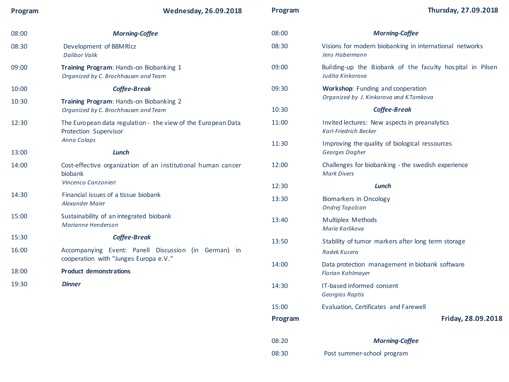**Program Wednesday, 26.09.2018**

| 08:00          | <b>Morning-Coffee</b>                                                                                                          | 08:00 | <b>Morning-Coffee</b>                                                         |
|----------------|--------------------------------------------------------------------------------------------------------------------------------|-------|-------------------------------------------------------------------------------|
| 08:30          | Development of BBMRIcz<br><b>Dalibor Valik</b>                                                                                 | 08:30 | Visions for modern biobanking in international networks<br>Jens Habermann     |
| 09:00          | Training Program: Hands-on Biobanking 1<br>Organized by C. Brochhausen and Team                                                | 09:00 | Building-up the Biobank of the faculty hospital in Pilsen<br>Judita Kinkorova |
| 10:00          | <b>Coffee-Break</b>                                                                                                            | 09:30 | <b>Workshop:</b> Funding and cooperation                                      |
| 10:30          | Training Program: Hands-on Biobanking 2<br>Organized by C. Brochhausen and Team                                                |       | Organized by J. Kinkorova and K.Tomkova                                       |
|                |                                                                                                                                | 10:30 | <b>Coffee-Break</b>                                                           |
| 12:30<br>13:00 | The European data regulation - the view of the European Data<br>Protection Supervisor<br>Anna Colaps<br>Lunch                  | 11:00 | Invited lectures: New aspects in preanalytics<br><b>Karl-Friedrich Becker</b> |
|                |                                                                                                                                | 11:30 | Improving the quality of biological ressources<br>Georges Dagher              |
|                | Cost-effective organization of an institutional human cancer<br>biobank<br>Vincenco Canzonieri                                 |       |                                                                               |
| 14:00          |                                                                                                                                | 12:00 | Challenges for biobanking - the swedish experience<br><b>Mark Divers</b>      |
|                |                                                                                                                                | 12:30 | Lunch                                                                         |
| 14:30          | Financial issues of a tissue biobank<br>Alexander Maier                                                                        | 13:30 | Biomarkers in Oncology<br>Ondrej Topolcan                                     |
| 15:00          | Sustainability of an integrated biobank<br>Marianne Henderson                                                                  | 13:40 | <b>Multiplex Methods</b><br>Marie Karlikova                                   |
| 15:30          | <b>Coffee-Break</b>                                                                                                            | 13:50 | Stability of tumor markers after long term storage                            |
| 16:00          | Accompanying Event: Panell Discussion (in German) in<br>cooperation with "Junges Europa e.V."<br><b>Product demonstrations</b> |       | Radek Kucera                                                                  |
| 18:00          |                                                                                                                                | 14:00 | Data protection management in biobank software<br>Florian Kohlmayer           |
| 19:30          | <b>Dinner</b>                                                                                                                  | 14:30 | IT-based informed consent<br>Georgios Raptis                                  |
|                |                                                                                                                                | 15:00 | Evaluation, Certificates and Farewell                                         |

**Program Friday, 28.09.2018**

| 08:20 | <b>Morning-Coffee</b>      |
|-------|----------------------------|
| 08:30 | Post summer-school program |